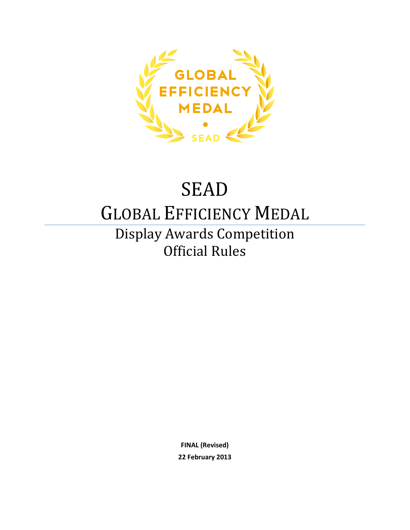

# SEAD

## GLOBAL EFFICIENCY MEDAL

Display Awards Competition Official Rules

> **FINAL (Revised) 22 February 2013**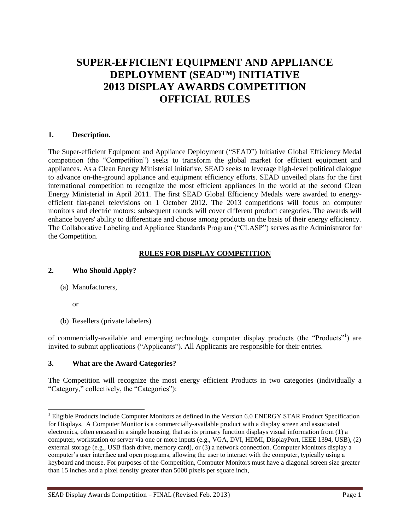## **SUPER-EFFICIENT EQUIPMENT AND APPLIANCE DEPLOYMENT (SEAD™) INITIATIVE 2013 DISPLAY AWARDS COMPETITION OFFICIAL RULES**

#### **1. Description.**

The Super-efficient Equipment and Appliance Deployment ("SEAD") Initiative Global Efficiency Medal competition (the "Competition") seeks to transform the global market for efficient equipment and appliances. As a Clean Energy Ministerial initiative, SEAD seeks to leverage high-level political dialogue to advance on-the-ground appliance and equipment efficiency efforts. SEAD unveiled plans for the first international competition to recognize the most efficient appliances in the world at the second Clean Energy Ministerial in April 2011. The first SEAD Global Efficiency Medals were awarded to energyefficient flat-panel televisions on 1 October 2012. The 2013 competitions will focus on computer monitors and electric motors; subsequent rounds will cover different product categories. The awards will enhance buyers' ability to differentiate and choose among products on the basis of their energy efficiency. The Collaborative Labeling and Appliance Standards Program ("CLASP") serves as the Administrator for the Competition.

#### **RULES FOR DISPLAY COMPETITION**

#### **2. Who Should Apply?**

(a) Manufacturers,

or

l

(b) Resellers (private labelers)

of commercially-available and emerging technology computer display products (the "Products"<sup>1</sup>) are invited to submit applications ("Applicants"). All Applicants are responsible for their entries.

#### **3. What are the Award Categories?**

The Competition will recognize the most energy efficient Products in two categories (individually a "Category," collectively, the "Categories"):

<sup>&</sup>lt;sup>1</sup> Eligible Products include Computer Monitors as defined in the Version 6.0 ENERGY STAR Product Specification for Displays. A Computer Monitor is a commercially-available product with a display screen and associated electronics, often encased in a single housing, that as its primary function displays visual information from (1) a computer, workstation or server via one or more inputs (e.g., VGA, DVI, HDMI, DisplayPort, IEEE 1394, USB), (2) external storage (e.g., USB flash drive, memory card), or (3) a network connection. Computer Monitors display a computer's user interface and open programs, allowing the user to interact with the computer, typically using a keyboard and mouse. For purposes of the Competition, Computer Monitors must have a diagonal screen size greater than 15 inches and a pixel density greater than 5000 pixels per square inch,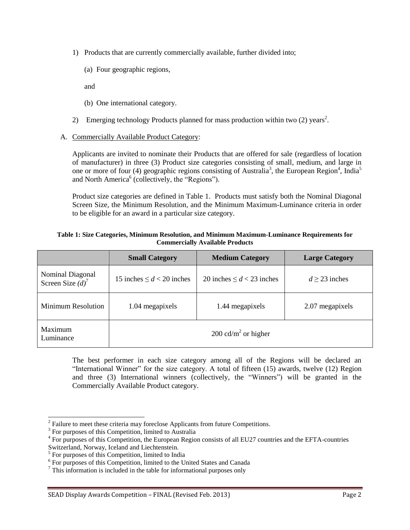- 1) Products that are currently commercially available, further divided into;
	- (a) Four geographic regions,

and

- (b) One international category.
- 2) Emerging technology Products planned for mass production within two  $(2)$  years<sup>2</sup>.
- A. Commercially Available Product Category:

Applicants are invited to nominate their Products that are offered for sale (regardless of location of manufacturer) in three (3) Product size categories consisting of small, medium, and large in one or more of four (4) geographic regions consisting of Australia<sup>3</sup>, the European Region<sup>4</sup>, India<sup>5</sup> and North America<sup>6</sup> (collectively, the "Regions").

Product size categories are defined in Table 1. Products must satisfy both the Nominal Diagonal Screen Size, the Minimum Resolution, and the Minimum Maximum-Luminance criteria in order to be eligible for an award in a particular size category.

| Table 1: Size Categories, Minimum Resolution, and Minimum Maximum-Luminance Requirements for |  |  |
|----------------------------------------------------------------------------------------------|--|--|
| <b>Commercially Available Products</b>                                                       |  |  |

|                                                    | <b>Small Category</b>           | <b>Medium Category</b>         | <b>Large Category</b> |
|----------------------------------------------------|---------------------------------|--------------------------------|-----------------------|
| Nominal Diagonal<br>Screen Size $(d)$ <sup>7</sup> | 15 inches $\leq d < 20$ inches  | 20 inches $\leq d < 23$ inches | $d > 23$ inches       |
| <b>Minimum Resolution</b>                          | 1.04 megapixels                 | 1.44 megapixels                | 2.07 megapixels       |
| Maximum<br>Luminance                               | 200 cd/m <sup>2</sup> or higher |                                |                       |

The best performer in each size category among all of the Regions will be declared an "International Winner" for the size category. A total of fifteen (15) awards, twelve (12) Region and three (3) International winners (collectively, the "Winners") will be granted in the Commercially Available Product category.

Switzerland, Norway, Iceland and Liechtenstein.

<sup>&</sup>lt;sup>2</sup> Failure to meet these criteria may foreclose Applicants from future Competitions.

<sup>&</sup>lt;sup>3</sup> For purposes of this Competition, limited to Australia

<sup>&</sup>lt;sup>4</sup> For purposes of this Competition, the European Region consists of all EU27 countries and the EFTA-countries

<sup>&</sup>lt;sup>5</sup> For purposes of this Competition, limited to India

<sup>&</sup>lt;sup>6</sup> For purposes of this Competition, limited to the United States and Canada

 $\frac{7}{1}$  This information is included in the table for informational purposes only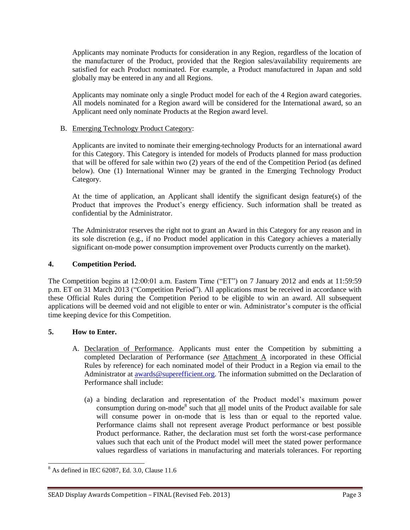Applicants may nominate Products for consideration in any Region, regardless of the location of the manufacturer of the Product, provided that the Region sales/availability requirements are satisfied for each Product nominated. For example, a Product manufactured in Japan and sold globally may be entered in any and all Regions.

Applicants may nominate only a single Product model for each of the 4 Region award categories. All models nominated for a Region award will be considered for the International award, so an Applicant need only nominate Products at the Region award level.

#### B. Emerging Technology Product Category:

Applicants are invited to nominate their emerging-technology Products for an international award for this Category. This Category is intended for models of Products planned for mass production that will be offered for sale within two (2) years of the end of the Competition Period (as defined below). One (1) International Winner may be granted in the Emerging Technology Product Category.

At the time of application, an Applicant shall identify the significant design feature(s) of the Product that improves the Product's energy efficiency. Such information shall be treated as confidential by the Administrator.

The Administrator reserves the right not to grant an Award in this Category for any reason and in its sole discretion (e.g., if no Product model application in this Category achieves a materially significant on-mode power consumption improvement over Products currently on the market).

#### **4. Competition Period.**

The Competition begins at 12:00:01 a.m. Eastern Time ("ET") on 7 January 2012 and ends at 11:59:59 p.m. ET on 31 March 2013 ("Competition Period"). All applications must be received in accordance with these Official Rules during the Competition Period to be eligible to win an award. All subsequent applications will be deemed void and not eligible to enter or win. Administrator's computer is the official time keeping device for this Competition.

#### **5. How to Enter.**

- A. Declaration of Performance. Applicants must enter the Competition by submitting a completed Declaration of Performance (*see* Attachment A incorporated in these Official Rules by reference) for each nominated model of their Product in a Region via email to the Administrator at [awards@superefficient.org.](mailto:awards@superefficient.org) The information submitted on the Declaration of Performance shall include:
	- (a) a binding declaration and representation of the Product model's maximum power consumption during on-mode<sup>8</sup> such that  $all$  model units of the Product available for sale will consume power in on-mode that is less than or equal to the reported value. Performance claims shall not represent average Product performance or best possible Product performance. Rather, the declaration must set forth the worst-case performance values such that each unit of the Product model will meet the stated power performance values regardless of variations in manufacturing and materials tolerances. For reporting

 $\overline{a}$  $8$  As defined in IEC 62087, Ed. 3.0, Clause 11.6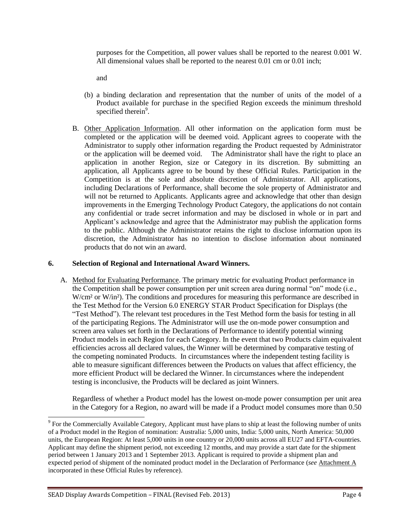purposes for the Competition, all power values shall be reported to the nearest 0.001 W. All dimensional values shall be reported to the nearest 0.01 cm or 0.01 inch;

and

- (b) a binding declaration and representation that the number of units of the model of a Product available for purchase in the specified Region exceeds the minimum threshold specified therein<sup>9</sup>.
- B. Other Application Information. All other information on the application form must be completed or the application will be deemed void. Applicant agrees to cooperate with the Administrator to supply other information regarding the Product requested by Administrator or the application will be deemed void. The Administrator shall have the right to place an application in another Region, size or Category in its discretion. By submitting an application, all Applicants agree to be bound by these Official Rules. Participation in the Competition is at the sole and absolute discretion of Administrator. All applications, including Declarations of Performance, shall become the sole property of Administrator and will not be returned to Applicants. Applicants agree and acknowledge that other than design improvements in the Emerging Technology Product Category, the applications do not contain any confidential or trade secret information and may be disclosed in whole or in part and Applicant's acknowledge and agree that the Administrator may publish the application forms to the public. Although the Administrator retains the right to disclose information upon its discretion, the Administrator has no intention to disclose information about nominated products that do not win an award.

#### **6. Selection of Regional and International Award Winners.**

A. Method for Evaluating Performance. The primary metric for evaluating Product performance in the Competition shall be power consumption per unit screen area during normal "on" mode (i.e., W/cm<sup>2</sup> or W/in<sup>2</sup>). The conditions and procedures for measuring this performance are described in the Test Method for the Version 6.0 ENERGY STAR Product Specification for Displays (the "Test Method"). The relevant test procedures in the Test Method form the basis for testing in all of the participating Regions. The Administrator will use the on-mode power consumption and screen area values set forth in the Declarations of Performance to identify potential winning Product models in each Region for each Category. In the event that two Products claim equivalent efficiencies across all declared values, the Winner will be determined by comparative testing of the competing nominated Products. In circumstances where the independent testing facility is able to measure significant differences between the Products on values that affect efficiency, the more efficient Product will be declared the Winner. In circumstances where the independent testing is inconclusive, the Products will be declared as joint Winners.

Regardless of whether a Product model has the lowest on-mode power consumption per unit area in the Category for a Region, no award will be made if a Product model consumes more than 0.50

<sup>&</sup>lt;sup>9</sup> For the Commercially Available Category, Applicant must have plans to ship at least the following number of units of a Product model in the Region of nomination: Australia: 5,000 units, India: 5,000 units, North America: 50,000 units, the European Region: At least 5,000 units in one country or 20,000 units across all EU27 and EFTA-countries. Applicant may define the shipment period, not exceeding 12 months, and may provide a start date for the shipment period between 1 January 2013 and 1 September 2013. Applicant is required to provide a shipment plan and expected period of shipment of the nominated product model in the Declaration of Performance (*see* Attachment A incorporated in these Official Rules by reference).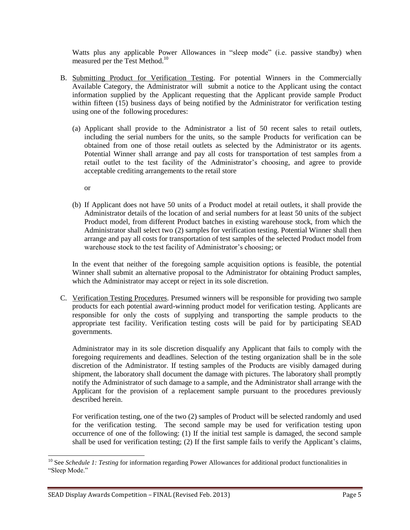Watts plus any applicable Power Allowances in "sleep mode" (i.e. passive standby) when measured per the Test Method.<sup>10</sup>

- B. Submitting Product for Verification Testing. For potential Winners in the Commercially Available Category, the Administrator will submit a notice to the Applicant using the contact information supplied by the Applicant requesting that the Applicant provide sample Product within fifteen (15) business days of being notified by the Administrator for verification testing using one of the following procedures:
	- (a) Applicant shall provide to the Administrator a list of 50 recent sales to retail outlets, including the serial numbers for the units, so the sample Products for verification can be obtained from one of those retail outlets as selected by the Administrator or its agents. Potential Winner shall arrange and pay all costs for transportation of test samples from a retail outlet to the test facility of the Administrator's choosing, and agree to provide acceptable crediting arrangements to the retail store

or

l

(b) If Applicant does not have 50 units of a Product model at retail outlets, it shall provide the Administrator details of the location of and serial numbers for at least 50 units of the subject Product model, from different Product batches in existing warehouse stock, from which the Administrator shall select two (2) samples for verification testing. Potential Winner shall then arrange and pay all costs for transportation of test samples of the selected Product model from warehouse stock to the test facility of Administrator's choosing; or

In the event that neither of the foregoing sample acquisition options is feasible, the potential Winner shall submit an alternative proposal to the Administrator for obtaining Product samples, which the Administrator may accept or reject in its sole discretion.

C. Verification Testing Procedures. Presumed winners will be responsible for providing two sample products for each potential award-winning product model for verification testing. Applicants are responsible for only the costs of supplying and transporting the sample products to the appropriate test facility. Verification testing costs will be paid for by participating SEAD governments.

Administrator may in its sole discretion disqualify any Applicant that fails to comply with the foregoing requirements and deadlines. Selection of the testing organization shall be in the sole discretion of the Administrator. If testing samples of the Products are visibly damaged during shipment, the laboratory shall document the damage with pictures. The laboratory shall promptly notify the Administrator of such damage to a sample, and the Administrator shall arrange with the Applicant for the provision of a replacement sample pursuant to the procedures previously described herein.

For verification testing, one of the two (2) samples of Product will be selected randomly and used for the verification testing. The second sample may be used for verification testing upon occurrence of one of the following: (1) If the initial test sample is damaged, the second sample shall be used for verification testing; (2) If the first sample fails to verify the Applicant's claims,

<sup>&</sup>lt;sup>10</sup> See *Schedule 1: Testing* for information regarding Power Allowances for additional product functionalities in "Sleep Mode."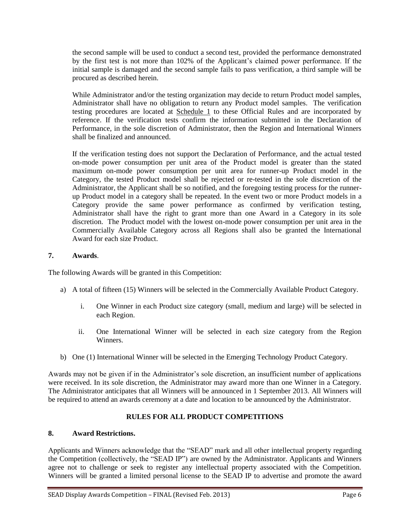the second sample will be used to conduct a second test, provided the performance demonstrated by the first test is not more than 102% of the Applicant's claimed power performance. If the initial sample is damaged and the second sample fails to pass verification, a third sample will be procured as described herein.

While Administrator and/or the testing organization may decide to return Product model samples, Administrator shall have no obligation to return any Product model samples. The verification testing procedures are located at Schedule 1 to these Official Rules and are incorporated by reference. If the verification tests confirm the information submitted in the Declaration of Performance, in the sole discretion of Administrator, then the Region and International Winners shall be finalized and announced.

If the verification testing does not support the Declaration of Performance, and the actual tested on-mode power consumption per unit area of the Product model is greater than the stated maximum on-mode power consumption per unit area for runner-up Product model in the Category, the tested Product model shall be rejected or re-tested in the sole discretion of the Administrator, the Applicant shall be so notified, and the foregoing testing process for the runnerup Product model in a category shall be repeated. In the event two or more Product models in a Category provide the same power performance as confirmed by verification testing, Administrator shall have the right to grant more than one Award in a Category in its sole discretion. The Product model with the lowest on-mode power consumption per unit area in the Commercially Available Category across all Regions shall also be granted the International Award for each size Product.

#### **7. Awards**.

The following Awards will be granted in this Competition:

- a) A total of fifteen (15) Winners will be selected in the Commercially Available Product Category.
	- i. One Winner in each Product size category (small, medium and large) will be selected in each Region.
	- ii. One International Winner will be selected in each size category from the Region Winners.
- b) One (1) International Winner will be selected in the Emerging Technology Product Category.

Awards may not be given if in the Administrator's sole discretion, an insufficient number of applications were received. In its sole discretion, the Administrator may award more than one Winner in a Category. The Administrator anticipates that all Winners will be announced in 1 September 2013. All Winners will be required to attend an awards ceremony at a date and location to be announced by the Administrator.

#### **RULES FOR ALL PRODUCT COMPETITIONS**

#### **8. Award Restrictions.**

Applicants and Winners acknowledge that the "SEAD" mark and all other intellectual property regarding the Competition (collectively, the "SEAD IP") are owned by the Administrator. Applicants and Winners agree not to challenge or seek to register any intellectual property associated with the Competition. Winners will be granted a limited personal license to the SEAD IP to advertise and promote the award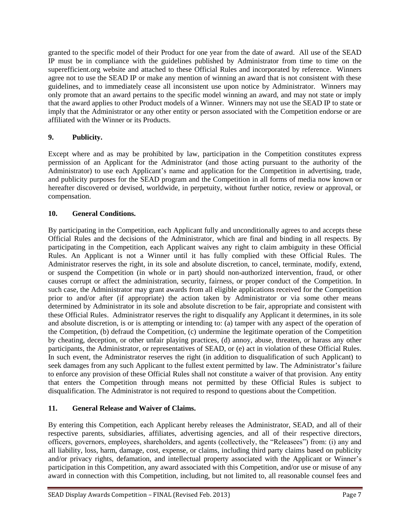granted to the specific model of their Product for one year from the date of award. All use of the SEAD IP must be in compliance with the guidelines published by Administrator from time to time on the superefficient.org website and attached to these Official Rules and incorporated by reference. Winners agree not to use the SEAD IP or make any mention of winning an award that is not consistent with these guidelines, and to immediately cease all inconsistent use upon notice by Administrator. Winners may only promote that an award pertains to the specific model winning an award, and may not state or imply that the award applies to other Product models of a Winner. Winners may not use the SEAD IP to state or imply that the Administrator or any other entity or person associated with the Competition endorse or are affiliated with the Winner or its Products.

#### **9. Publicity.**

Except where and as may be prohibited by law, participation in the Competition constitutes express permission of an Applicant for the Administrator (and those acting pursuant to the authority of the Administrator) to use each Applicant's name and application for the Competition in advertising, trade, and publicity purposes for the SEAD program and the Competition in all forms of media now known or hereafter discovered or devised, worldwide, in perpetuity, without further notice, review or approval, or compensation.

#### **10. General Conditions.**

By participating in the Competition, each Applicant fully and unconditionally agrees to and accepts these Official Rules and the decisions of the Administrator, which are final and binding in all respects. By participating in the Competition, each Applicant waives any right to claim ambiguity in these Official Rules. An Applicant is not a Winner until it has fully complied with these Official Rules. The Administrator reserves the right, in its sole and absolute discretion, to cancel, terminate, modify, extend, or suspend the Competition (in whole or in part) should non-authorized intervention, fraud, or other causes corrupt or affect the administration, security, fairness, or proper conduct of the Competition. In such case, the Administrator may grant awards from all eligible applications received for the Competition prior to and/or after (if appropriate) the action taken by Administrator or via some other means determined by Administrator in its sole and absolute discretion to be fair, appropriate and consistent with these Official Rules. Administrator reserves the right to disqualify any Applicant it determines, in its sole and absolute discretion, is or is attempting or intending to: (a) tamper with any aspect of the operation of the Competition, (b) defraud the Competition, (c) undermine the legitimate operation of the Competition by cheating, deception, or other unfair playing practices, (d) annoy, abuse, threaten, or harass any other participants, the Administrator, or representatives of SEAD, or (e) act in violation of these Official Rules. In such event, the Administrator reserves the right (in addition to disqualification of such Applicant) to seek damages from any such Applicant to the fullest extent permitted by law. The Administrator's failure to enforce any provision of these Official Rules shall not constitute a waiver of that provision. Any entity that enters the Competition through means not permitted by these Official Rules is subject to disqualification. The Administrator is not required to respond to questions about the Competition.

#### **11. General Release and Waiver of Claims.**

By entering this Competition, each Applicant hereby releases the Administrator, SEAD, and all of their respective parents, subsidiaries, affiliates, advertising agencies, and all of their respective directors, officers, governors, employees, shareholders, and agents (collectively, the "Releasees") from: (i) any and all liability, loss, harm, damage, cost, expense, or claims, including third party claims based on publicity and/or privacy rights, defamation, and intellectual property associated with the Applicant or Winner's participation in this Competition, any award associated with this Competition, and/or use or misuse of any award in connection with this Competition, including, but not limited to, all reasonable counsel fees and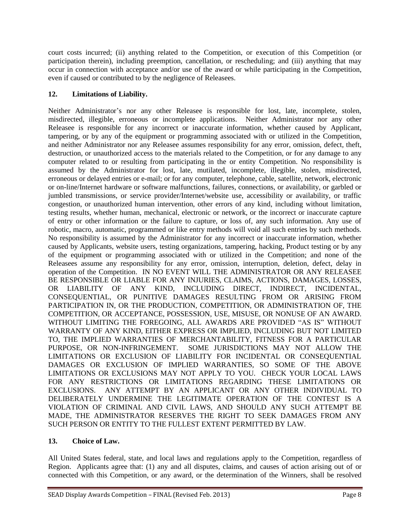court costs incurred; (ii) anything related to the Competition, or execution of this Competition (or participation therein), including preemption, cancellation, or rescheduling; and (iii) anything that may occur in connection with acceptance and/or use of the award or while participating in the Competition, even if caused or contributed to by the negligence of Releasees.

#### **12. Limitations of Liability.**

Neither Administrator's nor any other Releasee is responsible for lost, late, incomplete, stolen, misdirected, illegible, erroneous or incomplete applications. Neither Administrator nor any other Releasee is responsible for any incorrect or inaccurate information, whether caused by Applicant, tampering, or by any of the equipment or programming associated with or utilized in the Competition, and neither Administrator nor any Releasee assumes responsibility for any error, omission, defect, theft, destruction, or unauthorized access to the materials related to the Competition, or for any damage to any computer related to or resulting from participating in the or entity Competition. No responsibility is assumed by the Administrator for lost, late, mutilated, incomplete, illegible, stolen, misdirected, erroneous or delayed entries or e-mail; or for any computer, telephone, cable, satellite, network, electronic or on-line/Internet hardware or software malfunctions, failures, connections, or availability, or garbled or jumbled transmissions, or service provider/Internet/website use, accessibility or availability, or traffic congestion, or unauthorized human intervention, other errors of any kind, including without limitation, testing results, whether human, mechanical, electronic or network, or the incorrect or inaccurate capture of entry or other information or the failure to capture, or loss of, any such information. Any use of robotic, macro, automatic, programmed or like entry methods will void all such entries by such methods. No responsibility is assumed by the Administrator for any incorrect or inaccurate information, whether caused by Applicants, website users, testing organizations, tampering, hacking, Product testing or by any of the equipment or programming associated with or utilized in the Competition; and none of the Releasees assume any responsibility for any error, omission, interruption, deletion, defect, delay in operation of the Competition. IN NO EVENT WILL THE ADMINISTRATOR OR ANY RELEASEE BE RESPONSIBLE OR LIABLE FOR ANY INJURIES, CLAIMS, ACTIONS, DAMAGES, LOSSES, OR LIABILITY OF ANY KIND, INCLUDING DIRECT, INDIRECT, INCIDENTAL, CONSEQUENTIAL, OR PUNITIVE DAMAGES RESULTING FROM OR ARISING FROM PARTICIPATION IN, OR THE PRODUCTION, COMPETITION, OR ADMINISTRATION OF, THE COMPETITION, OR ACCEPTANCE, POSSESSION, USE, MISUSE, OR NONUSE OF AN AWARD. WITHOUT LIMITING THE FOREGOING, ALL AWARDS ARE PROVIDED "AS IS" WITHOUT WARRANTY OF ANY KIND, EITHER EXPRESS OR IMPLIED, INCLUDING BUT NOT LIMITED TO, THE IMPLIED WARRANTIES OF MERCHANTABILITY, FITNESS FOR A PARTICULAR PURPOSE, OR NON-INFRINGEMENT. SOME JURISDICTIONS MAY NOT ALLOW THE LIMITATIONS OR EXCLUSION OF LIABILITY FOR INCIDENTAL OR CONSEQUENTIAL DAMAGES OR EXCLUSION OF IMPLIED WARRANTIES, SO SOME OF THE ABOVE LIMITATIONS OR EXCLUSIONS MAY NOT APPLY TO YOU. CHECK YOUR LOCAL LAWS FOR ANY RESTRICTIONS OR LIMITATIONS REGARDING THESE LIMITATIONS OR EXCLUSIONS. ANY ATTEMPT BY AN APPLICANT OR ANY OTHER INDIVIDUAL TO DELIBERATELY UNDERMINE THE LEGITIMATE OPERATION OF THE CONTEST IS A VIOLATION OF CRIMINAL AND CIVIL LAWS, AND SHOULD ANY SUCH ATTEMPT BE MADE, THE ADMINISTRATOR RESERVES THE RIGHT TO SEEK DAMAGES FROM ANY SUCH PERSON OR ENTITY TO THE FULLEST EXTENT PERMITTED BY LAW.

#### **13. Choice of Law.**

All United States federal, state, and local laws and regulations apply to the Competition, regardless of Region. Applicants agree that: (1) any and all disputes, claims, and causes of action arising out of or connected with this Competition, or any award, or the determination of the Winners, shall be resolved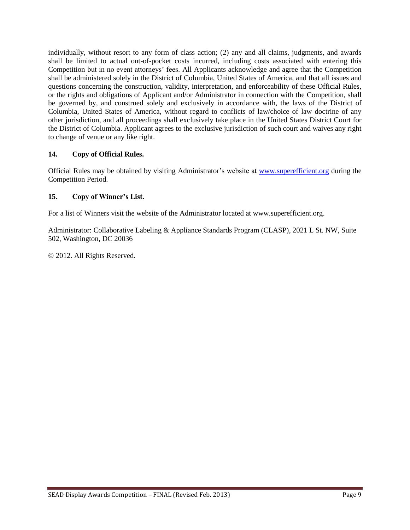individually, without resort to any form of class action; (2) any and all claims, judgments, and awards shall be limited to actual out-of-pocket costs incurred, including costs associated with entering this Competition but in no event attorneys' fees. All Applicants acknowledge and agree that the Competition shall be administered solely in the District of Columbia, United States of America, and that all issues and questions concerning the construction, validity, interpretation, and enforceability of these Official Rules, or the rights and obligations of Applicant and/or Administrator in connection with the Competition, shall be governed by, and construed solely and exclusively in accordance with, the laws of the District of Columbia, United States of America, without regard to conflicts of law/choice of law doctrine of any other jurisdiction, and all proceedings shall exclusively take place in the United States District Court for the District of Columbia. Applicant agrees to the exclusive jurisdiction of such court and waives any right to change of venue or any like right.

#### **14. Copy of Official Rules.**

Official Rules may be obtained by visiting Administrator's website at [www.superefficient.org](http://www.superefficient.org/) during the Competition Period.

#### **15. Copy of Winner's List.**

For a list of Winners visit the website of the Administrator located at www.superefficient.org.

Administrator: Collaborative Labeling & Appliance Standards Program (CLASP), 2021 L St. NW, Suite 502, Washington, DC 20036

© 2012. All Rights Reserved.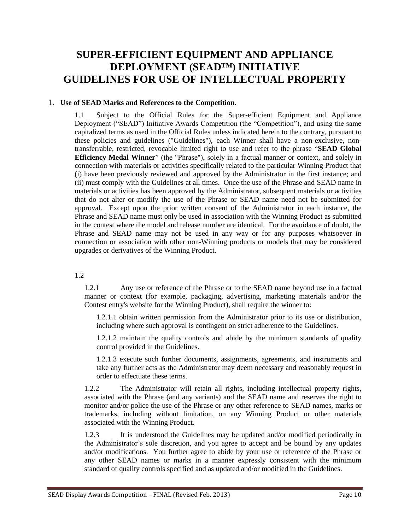### **SUPER-EFFICIENT EQUIPMENT AND APPLIANCE DEPLOYMENT (SEAD™) INITIATIVE GUIDELINES FOR USE OF INTELLECTUAL PROPERTY**

#### 1. **Use of SEAD Marks and References to the Competition.**

1.1 Subject to the Official Rules for the Super-efficient Equipment and Appliance Deployment ("SEAD") Initiative Awards Competition (the "Competition"), and using the same capitalized terms as used in the Official Rules unless indicated herein to the contrary, pursuant to these policies and guidelines ("Guidelines"), each Winner shall have a non-exclusive, nontransferrable, restricted, revocable limited right to use and refer to the phrase "**SEAD Global Efficiency Medal Winner**" (the "Phrase"), solely in a factual manner or context, and solely in connection with materials or activities specifically related to the particular Winning Product that (i) have been previously reviewed and approved by the Administrator in the first instance; and (ii) must comply with the Guidelines at all times. Once the use of the Phrase and SEAD name in materials or activities has been approved by the Administrator, subsequent materials or activities that do not alter or modify the use of the Phrase or SEAD name need not be submitted for approval. Except upon the prior written consent of the Administrator in each instance, the Phrase and SEAD name must only be used in association with the Winning Product as submitted in the contest where the model and release number are identical. For the avoidance of doubt, the Phrase and SEAD name may not be used in any way or for any purposes whatsoever in connection or association with other non-Winning products or models that may be considered upgrades or derivatives of the Winning Product.

1.2

1.2.1 Any use or reference of the Phrase or to the SEAD name beyond use in a factual manner or context (for example, packaging, advertising, marketing materials and/or the Contest entry's website for the Winning Product), shall require the winner to:

1.2.1.1 obtain written permission from the Administrator prior to its use or distribution, including where such approval is contingent on strict adherence to the Guidelines.

1.2.1.2 maintain the quality controls and abide by the minimum standards of quality control provided in the Guidelines.

1.2.1.3 execute such further documents, assignments, agreements, and instruments and take any further acts as the Administrator may deem necessary and reasonably request in order to effectuate these terms.

1.2.2 The Administrator will retain all rights, including intellectual property rights, associated with the Phrase (and any variants) and the SEAD name and reserves the right to monitor and/or police the use of the Phrase or any other reference to SEAD names, marks or trademarks, including without limitation, on any Winning Product or other materials associated with the Winning Product.

1.2.3 It is understood the Guidelines may be updated and/or modified periodically in the Administrator's sole discretion, and you agree to accept and be bound by any updates and/or modifications. You further agree to abide by your use or reference of the Phrase or any other SEAD names or marks in a manner expressly consistent with the minimum standard of quality controls specified and as updated and/or modified in the Guidelines.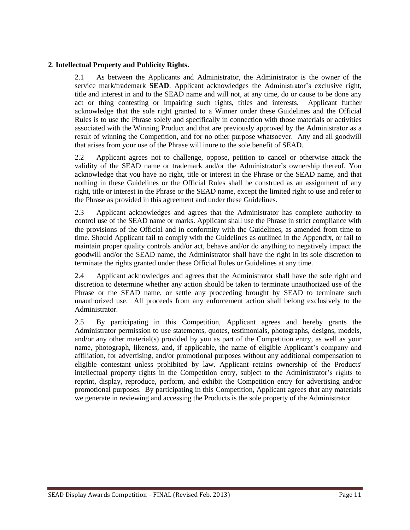#### **2**. **Intellectual Property and Publicity Rights.**

2.1 As between the Applicants and Administrator, the Administrator is the owner of the service mark/trademark **SEAD**. Applicant acknowledges the Administrator's exclusive right, title and interest in and to the SEAD name and will not, at any time, do or cause to be done any act or thing contesting or impairing such rights, titles and interests. Applicant further acknowledge that the sole right granted to a Winner under these Guidelines and the Official Rules is to use the Phrase solely and specifically in connection with those materials or activities associated with the Winning Product and that are previously approved by the Administrator as a result of winning the Competition, and for no other purpose whatsoever. Any and all goodwill that arises from your use of the Phrase will inure to the sole benefit of SEAD.

2.2 Applicant agrees not to challenge, oppose, petition to cancel or otherwise attack the validity of the SEAD name or trademark and/or the Administrator's ownership thereof. You acknowledge that you have no right, title or interest in the Phrase or the SEAD name, and that nothing in these Guidelines or the Official Rules shall be construed as an assignment of any right, title or interest in the Phrase or the SEAD name, except the limited right to use and refer to the Phrase as provided in this agreement and under these Guidelines.

2.3 Applicant acknowledges and agrees that the Administrator has complete authority to control use of the SEAD name or marks. Applicant shall use the Phrase in strict compliance with the provisions of the Official and in conformity with the Guidelines, as amended from time to time. Should Applicant fail to comply with the Guidelines as outlined in the Appendix, or fail to maintain proper quality controls and/or act, behave and/or do anything to negatively impact the goodwill and/or the SEAD name, the Administrator shall have the right in its sole discretion to terminate the rights granted under these Official Rules or Guidelines at any time.

2.4 Applicant acknowledges and agrees that the Administrator shall have the sole right and discretion to determine whether any action should be taken to terminate unauthorized use of the Phrase or the SEAD name, or settle any proceeding brought by SEAD to terminate such unauthorized use. All proceeds from any enforcement action shall belong exclusively to the Administrator.

2.5 By participating in this Competition, Applicant agrees and hereby grants the Administrator permission to use statements, quotes, testimonials, photographs, designs, models, and/or any other material(s) provided by you as part of the Competition entry, as well as your name, photograph, likeness, and, if applicable, the name of eligible Applicant's company and affiliation, for advertising, and/or promotional purposes without any additional compensation to eligible contestant unless prohibited by law. Applicant retains ownership of the Products' intellectual property rights in the Competition entry, subject to the Administrator's rights to reprint, display, reproduce, perform, and exhibit the Competition entry for advertising and/or promotional purposes. By participating in this Competition, Applicant agrees that any materials we generate in reviewing and accessing the Products is the sole property of the Administrator.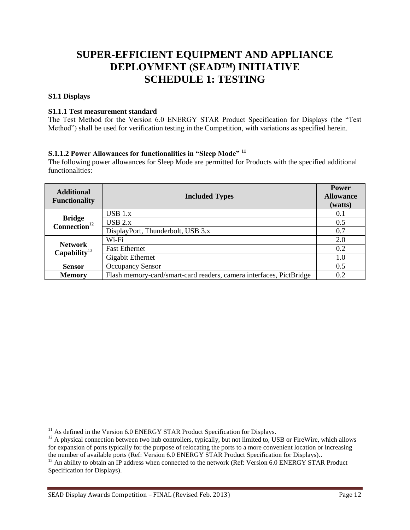## **SUPER-EFFICIENT EQUIPMENT AND APPLIANCE DEPLOYMENT (SEAD™) INITIATIVE SCHEDULE 1: TESTING**

#### **S1.1 Displays**

 $\overline{a}$ 

#### **S1.1.1 Test measurement standard**

The Test Method for the Version 6.0 ENERGY STAR Product Specification for Displays (the "Test Method") shall be used for verification testing in the Competition, with variations as specified herein.

#### **S.1.1.2 Power Allowances for functionalities in "Sleep Mode" <sup>11</sup>**

The following power allowances for Sleep Mode are permitted for Products with the specified additional functionalities:

| <b>Additional</b><br><b>Functionality</b>  | <b>Included Types</b>                                               | <b>Power</b><br><b>Allowance</b><br>(watts) |
|--------------------------------------------|---------------------------------------------------------------------|---------------------------------------------|
| <b>Bridge</b><br>$Connection12$            | $\overline{UBB}$ 1.x                                                | 0.1                                         |
|                                            | $USB$ 2.x                                                           | 0.5                                         |
|                                            | DisplayPort, Thunderbolt, USB 3.x                                   | 0.7                                         |
| <b>Network</b><br>Capability <sup>13</sup> | Wi-Fi                                                               | 2.0                                         |
|                                            | <b>Fast Ethernet</b>                                                | 0.2                                         |
|                                            | Gigabit Ethernet                                                    | 1.0                                         |
| <b>Sensor</b>                              | <b>Occupancy Sensor</b>                                             | 0.5                                         |
| <b>Memory</b>                              | Flash memory-card/smart-card readers, camera interfaces, PictBridge | 0.2                                         |

 $11$  As defined in the Version 6.0 ENERGY STAR Product Specification for Displays.

 $12$  A physical connection between two hub controllers, typically, but not limited to, USB or FireWire, which allows for expansion of ports typically for the purpose of relocating the ports to a more convenient location or increasing the number of available ports (Ref: Version 6.0 ENERGY STAR Product Specification for Displays)..

<sup>&</sup>lt;sup>13</sup> An ability to obtain an IP address when connected to the network (Ref: Version 6.0 ENERGY STAR Product Specification for Displays).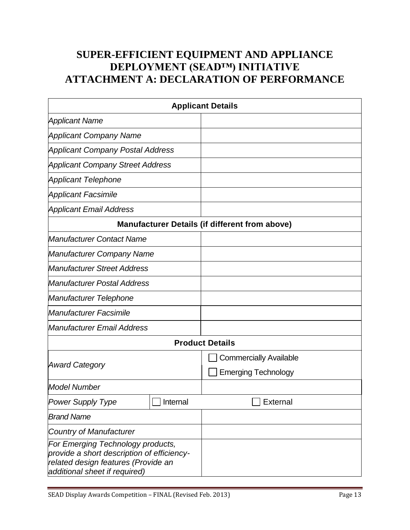## **SUPER-EFFICIENT EQUIPMENT AND APPLIANCE DEPLOYMENT (SEAD™) INITIATIVE ATTACHMENT A: DECLARATION OF PERFORMANCE**

| <b>Applicant Details</b>                                                                                                                                |          |                               |  |  |
|---------------------------------------------------------------------------------------------------------------------------------------------------------|----------|-------------------------------|--|--|
| <b>Applicant Name</b>                                                                                                                                   |          |                               |  |  |
| <b>Applicant Company Name</b>                                                                                                                           |          |                               |  |  |
| <b>Applicant Company Postal Address</b>                                                                                                                 |          |                               |  |  |
| <b>Applicant Company Street Address</b>                                                                                                                 |          |                               |  |  |
| <b>Applicant Telephone</b>                                                                                                                              |          |                               |  |  |
| <b>Applicant Facsimile</b>                                                                                                                              |          |                               |  |  |
| <b>Applicant Email Address</b>                                                                                                                          |          |                               |  |  |
| <b>Manufacturer Details (if different from above)</b>                                                                                                   |          |                               |  |  |
| <b>Manufacturer Contact Name</b>                                                                                                                        |          |                               |  |  |
| <b>Manufacturer Company Name</b>                                                                                                                        |          |                               |  |  |
| <b>Manufacturer Street Address</b>                                                                                                                      |          |                               |  |  |
| <b>Manufacturer Postal Address</b>                                                                                                                      |          |                               |  |  |
| Manufacturer Telephone                                                                                                                                  |          |                               |  |  |
| <b>Manufacturer Facsimile</b>                                                                                                                           |          |                               |  |  |
| Manufacturer Email Address                                                                                                                              |          |                               |  |  |
|                                                                                                                                                         |          | <b>Product Details</b>        |  |  |
| <b>Award Category</b>                                                                                                                                   |          | <b>Commercially Available</b> |  |  |
|                                                                                                                                                         |          | <b>Emerging Technology</b>    |  |  |
| <b>Model Number</b>                                                                                                                                     |          |                               |  |  |
| <b>Power Supply Type</b>                                                                                                                                | Internal | <b>External</b>               |  |  |
| <b>Brand Name</b>                                                                                                                                       |          |                               |  |  |
| <b>Country of Manufacturer</b>                                                                                                                          |          |                               |  |  |
| For Emerging Technology products,<br>provide a short description of efficiency-<br>related design features (Provide an<br>additional sheet if required) |          |                               |  |  |